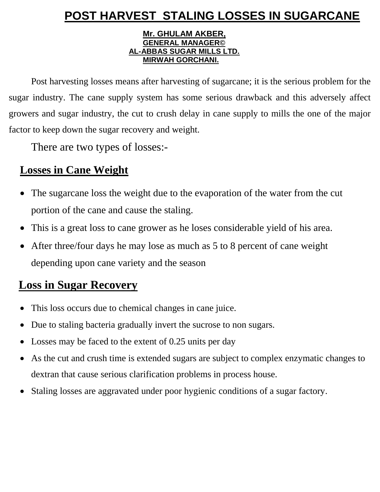# **POST HARVEST STALING LOSSES IN SUGARCANE**

#### **Mr. GHULAM AKBER, GENERAL MANAGER© AL-ABBAS SUGAR MILLS LTD. MIRWAH GORCHANI.**

Post harvesting losses means after harvesting of sugarcane; it is the serious problem for the sugar industry. The cane supply system has some serious drawback and this adversely affect growers and sugar industry, the cut to crush delay in cane supply to mills the one of the major factor to keep down the sugar recovery and weight.

There are two types of losses:-

# **Losses in Cane Weight**

- The sugarcane loss the weight due to the evaporation of the water from the cut portion of the cane and cause the staling.
- This is a great loss to cane grower as he loses considerable yield of his area.
- After three/four days he may lose as much as 5 to 8 percent of cane weight depending upon cane variety and the season

# **Loss in Sugar Recovery**

- This loss occurs due to chemical changes in cane juice.
- Due to staling bacteria gradually invert the sucrose to non sugars.
- Losses may be faced to the extent of 0.25 units per day
- As the cut and crush time is extended sugars are subject to complex enzymatic changes to dextran that cause serious clarification problems in process house.
- Staling losses are aggravated under poor hygienic conditions of a sugar factory.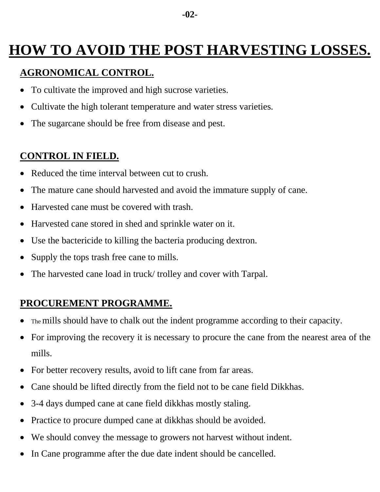# **HOW TO AVOID THE POST HARVESTING LOSSES.**

#### **AGRONOMICAL CONTROL.**

- To cultivate the improved and high sucrose varieties.
- Cultivate the high tolerant temperature and water stress varieties.
- The sugarcane should be free from disease and pest.

### **CONTROL IN FIELD.**

- Reduced the time interval between cut to crush.
- The mature cane should harvested and avoid the immature supply of cane.
- Harvested cane must be covered with trash.
- Harvested cane stored in shed and sprinkle water on it.
- Use the bactericide to killing the bacteria producing dextron.
- Supply the tops trash free cane to mills.
- The harvested cane load in truck/ trolley and cover with Tarpal.

## **PROCUREMENT PROGRAMME.**

- The mills should have to chalk out the indent programme according to their capacity.
- For improving the recovery it is necessary to procure the cane from the nearest area of the mills.
- For better recovery results, avoid to lift cane from far areas.
- Cane should be lifted directly from the field not to be cane field Dikkhas.
- 3-4 days dumped cane at cane field dikkhas mostly staling.
- Practice to procure dumped cane at dikkhas should be avoided.
- We should convey the message to growers not harvest without indent.
- In Cane programme after the due date indent should be cancelled.